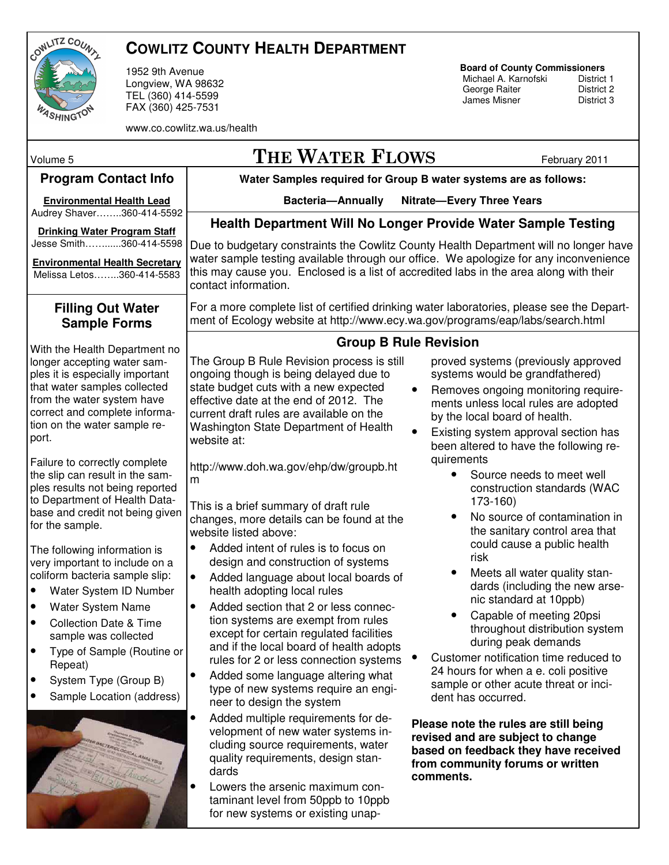

# **COWLITZ COUNTY HEALTH DEPARTMENT**

1952 9th Avenue Longview, WA 98632 TEL (360) 414-5599 FAX (360) 425-7531

www.co.cowlitz.wa.us/health

# **Board of County Commissioners**

Michael A. Karnofski District 1<br>George Raiter District 2 George Raiter<br>
James Misner<br>
District 3 James Misner

**Water Samples required for Group B water systems are as follows: Bacteria—Annually Nitrate—Every Three Years**  Volume 5  $\Gamma$  THE WATER  $\Gamma$  LOWS February 2011 **Program Contact Info Environmental Health Lead** Audrey Shaver……..360-414-5592 **Drinking Water Program Staff**  Jesse Smith……......360-414-5598 **Environmental Health Secretary** Melissa Letos……..360-414-5583 The Group B Rule Revision process is still ongoing though is being delayed due to state budget cuts with a new expected effective date at the end of 2012. The current draft rules are available on the Washington State Department of Health website at: http://www.doh.wa.gov/ehp/dw/groupb.ht m This is a brief summary of draft rule changes, more details can be found at the website listed above: • Added intent of rules is to focus on design and construction of systems • Added language about local boards of health adopting local rules • Added section that 2 or less connection systems are exempt from rules except for certain regulated facilities and if the local board of health adopts rules for 2 or less connection systems • • Added some language altering what type of new systems require an engineer to design the system • Added multiple requirements for development of new water systems including source requirements, water quality requirements, design standards • Lowers the arsenic maximum contaminant level from 50ppb to 10ppb for new systems or existing unapproved systems (previously approved systems would be grandfathered) • Removes ongoing monitoring requirements unless local rules are adopted by the local board of health. • Existing system approval section has been altered to have the following requirements • Source needs to meet well construction standards (WAC 173-160) • No source of contamination in the sanitary control area that could cause a public health risk Meets all water quality standards (including the new arsenic standard at 10ppb) • Capable of meeting 20psi throughout distribution system during peak demands • Customer notification time reduced to 24 hours for when a e. coli positive sample or other acute threat or incident has occurred. **Please note the rules are still being revised and are subject to change based on feedback they have received from community forums or written comments. Health Department Will No Longer Provide Water Sample Testing**  Due to budgetary constraints the Cowlitz County Health Department will no longer have water sample testing available through our office. We apologize for any inconvenience this may cause you. Enclosed is a list of accredited labs in the area along with their contact information. For a more complete list of certified drinking water laboratories, please see the Department of Ecology website at http://www.ecy.wa.gov/programs/eap/labs/search.html **Filling Out Water Sample Forms**  With the Health Department no longer accepting water samples it is especially important that water samples collected from the water system have correct and complete information on the water sample report. Failure to correctly complete the slip can result in the samples results not being reported to Department of Health Database and credit not being given for the sample. The following information is very important to include on a coliform bacteria sample slip: • Water System ID Number • Water System Name • Collection Date & Time sample was collected • Type of Sample (Routine or Repeat) • System Type (Group B) • Sample Location (address) **Group B Rule Revision**